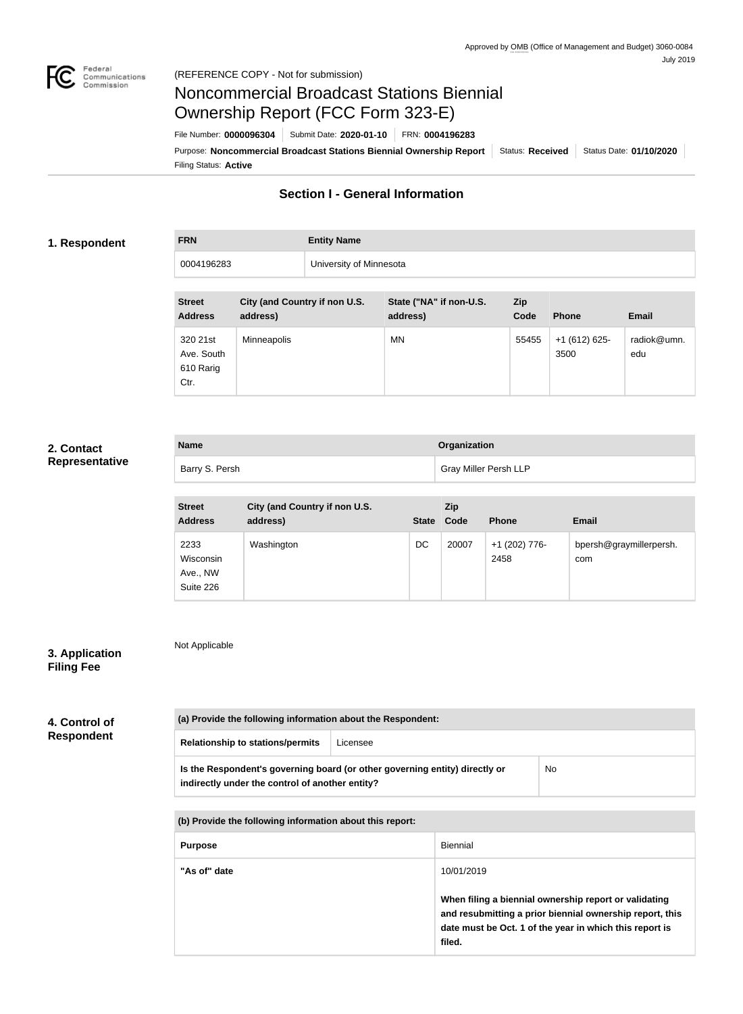

# Noncommercial Broadcast Stations Biennial Ownership Report (FCC Form 323-E)

Filing Status: **Active** Purpose: Noncommercial Broadcast Stations Biennial Ownership Report | Status: Received | Status Date: 01/10/2020 File Number: **0000096304** Submit Date: **2020-01-10** FRN: **0004196283**

# **Section I - General Information**

### **1. Respondent**

# **FRN Entity Name** 0004196283 University of Minnesota

| <b>Street</b><br><b>Address</b>             | City (and Country if non U.S.<br>address) | State ("NA" if non-U.S.<br>address) | Zip<br>Code | <b>Phone</b>         | <b>Email</b>       |
|---------------------------------------------|-------------------------------------------|-------------------------------------|-------------|----------------------|--------------------|
| 320 21st<br>Ave. South<br>610 Rarig<br>Ctr. | <b>Minneapolis</b>                        | <b>MN</b>                           | 55455       | $+1(612)625$<br>3500 | radiok@umn.<br>edu |

# **2. Contact Representative**

| <b>Name</b>    | <b>Organization</b>          |
|----------------|------------------------------|
| Barry S. Persh | <b>Gray Miller Persh LLP</b> |

| <b>Street</b><br><b>Address</b>            | City (and Country if non U.S.<br>address) | <b>State</b> | Zip<br>Code | <b>Phone</b>          | <b>Email</b>                   |
|--------------------------------------------|-------------------------------------------|--------------|-------------|-----------------------|--------------------------------|
| 2233<br>Wisconsin<br>Ave., NW<br>Suite 226 | Washington                                | DC           | 20007       | +1 (202) 776-<br>2458 | bpersh@graymillerpersh.<br>com |

# **3. Application Filing Fee**

Not Applicable

| 4. Control of     |  |
|-------------------|--|
| <b>Respondent</b> |  |

| (a) Provide the following information about the Respondent:                                                                    |          |    |  |
|--------------------------------------------------------------------------------------------------------------------------------|----------|----|--|
| <b>Relationship to stations/permits</b>                                                                                        | Licensee |    |  |
| Is the Respondent's governing board (or other governing entity) directly or<br>indirectly under the control of another entity? |          | No |  |
|                                                                                                                                |          |    |  |

**(b) Provide the following information about this report:** Purpose **Biennial "As of" date** 10/01/2019 **When filing a biennial ownership report or validating and resubmitting a prior biennial ownership report, this date must be Oct. 1 of the year in which this report is filed.**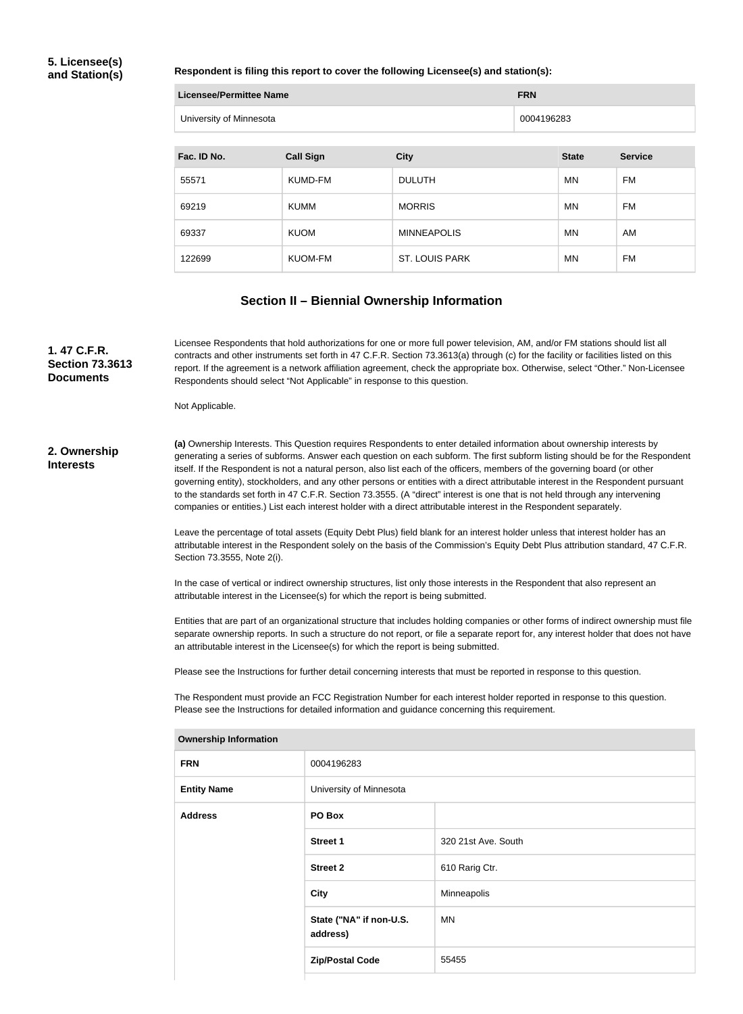## **5. Licensee(s) and Station(s)**

#### **Respondent is filing this report to cover the following Licensee(s) and station(s):**

| Licensee/Permittee Name | <b>FRN</b> |
|-------------------------|------------|
| University of Minnesota | 0004196283 |

| Fac. ID No. | <b>Call Sign</b> | <b>City</b>           | <b>State</b> | <b>Service</b> |
|-------------|------------------|-----------------------|--------------|----------------|
| 55571       | KUMD-FM          | <b>DULUTH</b>         | MN           | FM             |
| 69219       | <b>KUMM</b>      | <b>MORRIS</b>         | <b>MN</b>    | FM             |
| 69337       | <b>KUOM</b>      | <b>MINNEAPOLIS</b>    | <b>MN</b>    | AM             |
| 122699      | <b>KUOM-FM</b>   | <b>ST. LOUIS PARK</b> | <b>MN</b>    | FM             |

# **Section II – Biennial Ownership Information**

**(a)** Ownership Interests. This Question requires Respondents to enter detailed information about ownership interests by generating a series of subforms. Answer each question on each subform. The first subform listing should be for the Respondent itself. If the Respondent is not a natural person, also list each of the officers, members of the governing board (or other governing entity), stockholders, and any other persons or entities with a direct attributable interest in the Respondent pursuant to the standards set forth in 47 C.F.R. Section 73.3555. (A "direct" interest is one that is not held through any intervening companies or entities.) List each interest holder with a direct attributable interest in the Respondent separately. **2. Ownership Interests** Licensee Respondents that hold authorizations for one or more full power television, AM, and/or FM stations should list all contracts and other instruments set forth in 47 C.F.R. Section 73.3613(a) through (c) for the facility or facilities listed on this report. If the agreement is a network affiliation agreement, check the appropriate box. Otherwise, select "Other." Non-Licensee Respondents should select "Not Applicable" in response to this question. Not Applicable. **1. 47 C.F.R. Section 73.3613 Documents**

Leave the percentage of total assets (Equity Debt Plus) field blank for an interest holder unless that interest holder has an attributable interest in the Respondent solely on the basis of the Commission's Equity Debt Plus attribution standard, 47 C.F.R. Section 73.3555, Note 2(i).

In the case of vertical or indirect ownership structures, list only those interests in the Respondent that also represent an attributable interest in the Licensee(s) for which the report is being submitted.

Entities that are part of an organizational structure that includes holding companies or other forms of indirect ownership must file separate ownership reports. In such a structure do not report, or file a separate report for, any interest holder that does not have an attributable interest in the Licensee(s) for which the report is being submitted.

Please see the Instructions for further detail concerning interests that must be reported in response to this question.

The Respondent must provide an FCC Registration Number for each interest holder reported in response to this question. Please see the Instructions for detailed information and guidance concerning this requirement.

| ווטוואווווטווווטוווועווטווי |                                     |                     |
|-----------------------------|-------------------------------------|---------------------|
| <b>FRN</b>                  | 0004196283                          |                     |
| <b>Entity Name</b>          | University of Minnesota             |                     |
| <b>Address</b>              | PO Box                              |                     |
|                             | <b>Street 1</b>                     | 320 21st Ave. South |
|                             | <b>Street 2</b>                     | 610 Rarig Ctr.      |
|                             | <b>City</b>                         | Minneapolis         |
|                             | State ("NA" if non-U.S.<br>address) | MN                  |
|                             | <b>Zip/Postal Code</b>              | 55455               |
|                             |                                     |                     |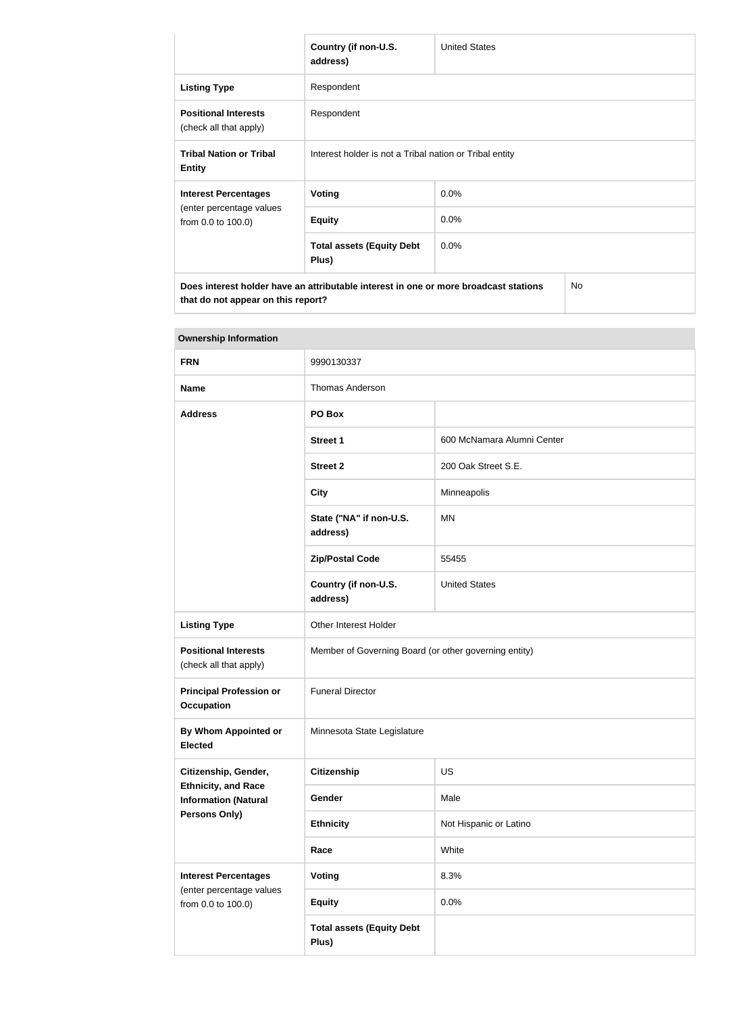|                                                       | Country (if non-U.S.<br>address)                                                                                                  | <b>United States</b> |  |
|-------------------------------------------------------|-----------------------------------------------------------------------------------------------------------------------------------|----------------------|--|
| <b>Listing Type</b>                                   | Respondent                                                                                                                        |                      |  |
| <b>Positional Interests</b><br>(check all that apply) | Respondent                                                                                                                        |                      |  |
| <b>Tribal Nation or Tribal</b><br><b>Entity</b>       | Interest holder is not a Tribal nation or Tribal entity                                                                           |                      |  |
| <b>Interest Percentages</b>                           | Voting                                                                                                                            | 0.0%                 |  |
| (enter percentage values<br>from 0.0 to 100.0)        | <b>Equity</b>                                                                                                                     | 0.0%                 |  |
|                                                       | <b>Total assets (Equity Debt</b><br>Plus)                                                                                         | $0.0\%$              |  |
|                                                       | Does interest holder have an attributable interest in one or more broadcast stations<br>No.<br>that do not appear on this report? |                      |  |

| <b>FRN</b>                                                | 9990130337                                            |                            |  |
|-----------------------------------------------------------|-------------------------------------------------------|----------------------------|--|
| <b>Name</b>                                               | <b>Thomas Anderson</b>                                |                            |  |
| <b>Address</b>                                            | PO Box                                                |                            |  |
|                                                           | <b>Street 1</b>                                       | 600 McNamara Alumni Center |  |
|                                                           | <b>Street 2</b>                                       | 200 Oak Street S.E.        |  |
|                                                           | <b>City</b>                                           | Minneapolis                |  |
|                                                           | State ("NA" if non-U.S.<br>address)                   | <b>MN</b>                  |  |
|                                                           | <b>Zip/Postal Code</b>                                | 55455                      |  |
|                                                           | Country (if non-U.S.<br>address)                      | <b>United States</b>       |  |
| <b>Listing Type</b>                                       | Other Interest Holder                                 |                            |  |
| <b>Positional Interests</b><br>(check all that apply)     | Member of Governing Board (or other governing entity) |                            |  |
| <b>Principal Profession or</b><br><b>Occupation</b>       | <b>Funeral Director</b>                               |                            |  |
| By Whom Appointed or<br><b>Elected</b>                    | Minnesota State Legislature                           |                            |  |
| Citizenship, Gender,                                      | Citizenship                                           | US                         |  |
| <b>Ethnicity, and Race</b><br><b>Information (Natural</b> | Gender                                                | Male                       |  |
| Persons Only)                                             | <b>Ethnicity</b>                                      | Not Hispanic or Latino     |  |
|                                                           | Race                                                  | White                      |  |
| <b>Interest Percentages</b>                               | <b>Voting</b>                                         | 8.3%                       |  |
| (enter percentage values<br>from 0.0 to 100.0)            | <b>Equity</b>                                         | 0.0%                       |  |
|                                                           | <b>Total assets (Equity Debt</b><br>Plus)             |                            |  |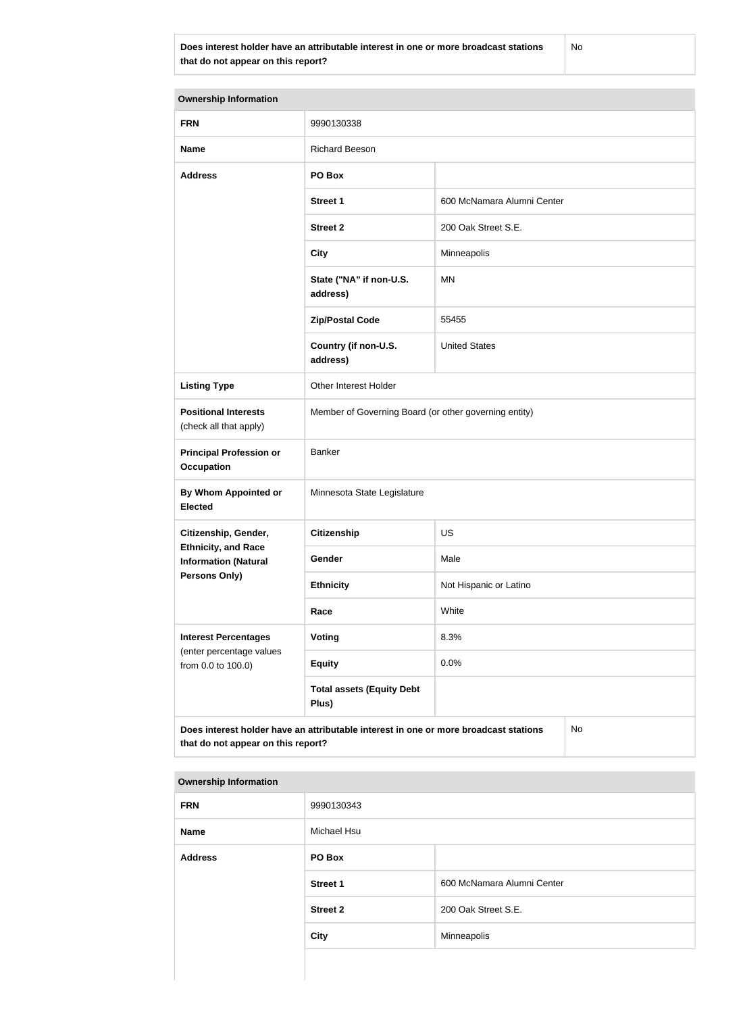**Does interest holder have an attributable interest in one or more broadcast stations that do not appear on this report?**

No

| <b>Ownership Information</b>                                                                                                     |                                                       |                            |  |  |
|----------------------------------------------------------------------------------------------------------------------------------|-------------------------------------------------------|----------------------------|--|--|
| <b>FRN</b>                                                                                                                       | 9990130338                                            |                            |  |  |
| <b>Name</b>                                                                                                                      | <b>Richard Beeson</b>                                 |                            |  |  |
| <b>Address</b>                                                                                                                   | PO Box                                                |                            |  |  |
|                                                                                                                                  | <b>Street 1</b>                                       | 600 McNamara Alumni Center |  |  |
|                                                                                                                                  | <b>Street 2</b>                                       | 200 Oak Street S.E.        |  |  |
|                                                                                                                                  | <b>City</b>                                           | Minneapolis                |  |  |
|                                                                                                                                  | State ("NA" if non-U.S.<br>address)                   | MN                         |  |  |
|                                                                                                                                  | <b>Zip/Postal Code</b>                                | 55455                      |  |  |
|                                                                                                                                  | Country (if non-U.S.<br>address)                      | <b>United States</b>       |  |  |
| <b>Listing Type</b>                                                                                                              | Other Interest Holder                                 |                            |  |  |
| <b>Positional Interests</b><br>(check all that apply)                                                                            | Member of Governing Board (or other governing entity) |                            |  |  |
| <b>Principal Profession or</b><br><b>Occupation</b>                                                                              | Banker                                                |                            |  |  |
| By Whom Appointed or<br><b>Elected</b>                                                                                           | Minnesota State Legislature                           |                            |  |  |
| Citizenship, Gender,                                                                                                             | Citizenship                                           | US                         |  |  |
| <b>Ethnicity, and Race</b><br><b>Information (Natural</b>                                                                        | Gender                                                | Male                       |  |  |
| <b>Persons Only)</b>                                                                                                             | <b>Ethnicity</b>                                      | Not Hispanic or Latino     |  |  |
|                                                                                                                                  | Race                                                  | White                      |  |  |
| <b>Interest Percentages</b><br>(enter percentage values                                                                          | <b>Voting</b>                                         | 8.3%                       |  |  |
| from 0.0 to 100.0)                                                                                                               | <b>Equity</b>                                         | 0.0%                       |  |  |
|                                                                                                                                  | <b>Total assets (Equity Debt</b><br>Plus)             |                            |  |  |
| Does interest holder have an attributable interest in one or more broadcast stations<br>No<br>that do not appear on this report? |                                                       |                            |  |  |

| <b>FRN</b>     | 9990130343      |                            |  |
|----------------|-----------------|----------------------------|--|
| <b>Name</b>    | Michael Hsu     |                            |  |
| <b>Address</b> | PO Box          |                            |  |
|                | <b>Street 1</b> | 600 McNamara Alumni Center |  |
|                | <b>Street 2</b> | 200 Oak Street S.E.        |  |
|                | <b>City</b>     | Minneapolis                |  |
|                |                 |                            |  |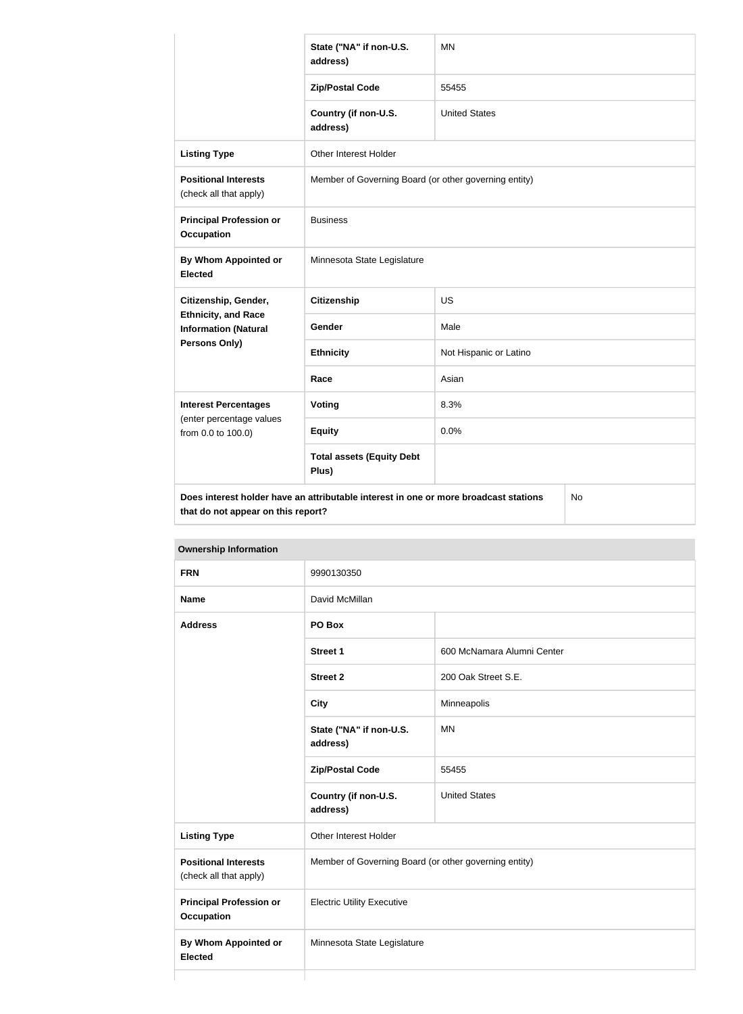|                                                                                            | State ("NA" if non-U.S.<br>address)       | <b>MN</b>                                             |  |  |
|--------------------------------------------------------------------------------------------|-------------------------------------------|-------------------------------------------------------|--|--|
|                                                                                            | <b>Zip/Postal Code</b>                    | 55455                                                 |  |  |
|                                                                                            | Country (if non-U.S.<br>address)          | <b>United States</b>                                  |  |  |
| <b>Listing Type</b>                                                                        | Other Interest Holder                     |                                                       |  |  |
| <b>Positional Interests</b><br>(check all that apply)                                      |                                           | Member of Governing Board (or other governing entity) |  |  |
| <b>Principal Profession or</b><br><b>Occupation</b>                                        | <b>Business</b>                           |                                                       |  |  |
| <b>By Whom Appointed or</b><br><b>Elected</b>                                              | Minnesota State Legislature               |                                                       |  |  |
| Citizenship, Gender,<br><b>Ethnicity, and Race</b><br><b>Information (Natural</b>          | <b>Citizenship</b>                        | US                                                    |  |  |
|                                                                                            | Gender                                    | Male                                                  |  |  |
| <b>Persons Only)</b>                                                                       | <b>Ethnicity</b>                          | Not Hispanic or Latino                                |  |  |
|                                                                                            | Race                                      | Asian                                                 |  |  |
| <b>Interest Percentages</b><br>(enter percentage values<br>from 0.0 to 100.0)              | <b>Voting</b>                             | 8.3%                                                  |  |  |
|                                                                                            | <b>Equity</b>                             | 0.0%                                                  |  |  |
|                                                                                            | <b>Total assets (Equity Debt</b><br>Plus) |                                                       |  |  |
| Does interest holder have an attributable interest in one or more broadcast stations<br>No |                                           |                                                       |  |  |

**that do not appear on this report?**

| <b>FRN</b>                                            | 9990130350                                            |                            |  |  |
|-------------------------------------------------------|-------------------------------------------------------|----------------------------|--|--|
| <b>Name</b>                                           | David McMillan                                        |                            |  |  |
| <b>Address</b>                                        | PO Box                                                |                            |  |  |
|                                                       | <b>Street 1</b>                                       | 600 McNamara Alumni Center |  |  |
|                                                       | <b>Street 2</b>                                       | 200 Oak Street S.E.        |  |  |
|                                                       | <b>City</b>                                           | Minneapolis                |  |  |
|                                                       | State ("NA" if non-U.S.<br>address)                   | <b>MN</b>                  |  |  |
|                                                       | <b>Zip/Postal Code</b>                                | 55455                      |  |  |
|                                                       | Country (if non-U.S.<br>address)                      | <b>United States</b>       |  |  |
| <b>Listing Type</b>                                   | Other Interest Holder                                 |                            |  |  |
| <b>Positional Interests</b><br>(check all that apply) | Member of Governing Board (or other governing entity) |                            |  |  |
| <b>Principal Profession or</b><br><b>Occupation</b>   | <b>Electric Utility Executive</b>                     |                            |  |  |
| <b>By Whom Appointed or</b><br><b>Elected</b>         | Minnesota State Legislature                           |                            |  |  |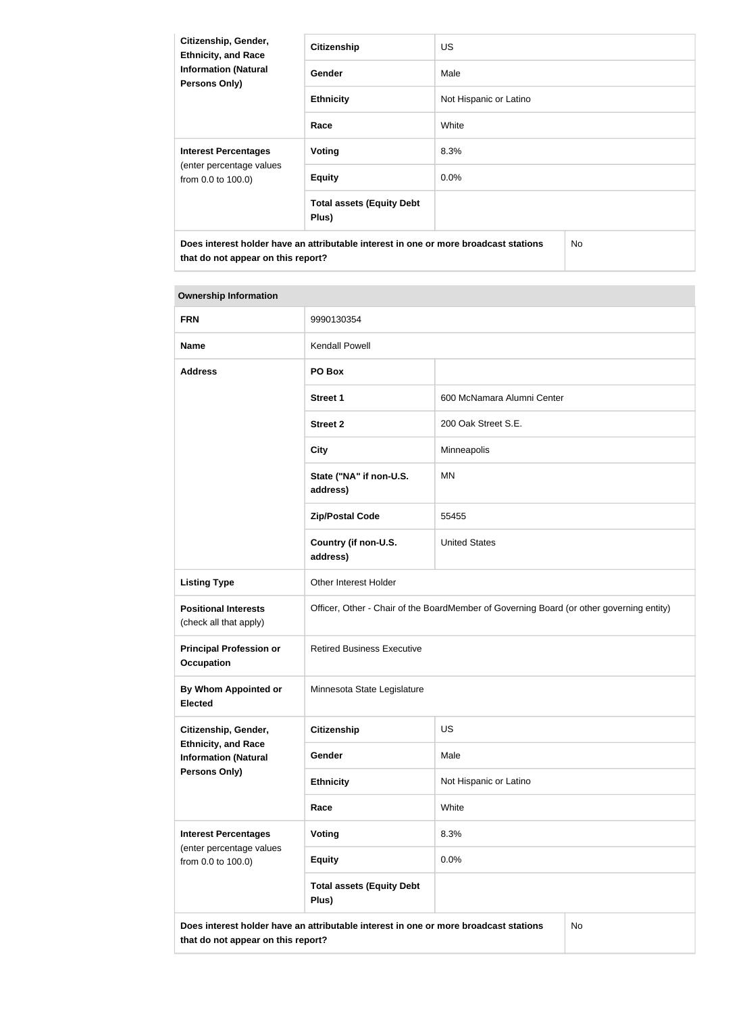| Citizenship, Gender,<br><b>Ethnicity, and Race</b>                                   | <b>Citizenship</b>                        | <b>US</b>              |     |
|--------------------------------------------------------------------------------------|-------------------------------------------|------------------------|-----|
| <b>Information (Natural</b><br><b>Persons Only)</b>                                  | <b>Gender</b>                             | Male                   |     |
|                                                                                      | <b>Ethnicity</b>                          | Not Hispanic or Latino |     |
|                                                                                      | Race                                      | White                  |     |
| <b>Interest Percentages</b><br>(enter percentage values<br>from 0.0 to 100.0)        | Voting                                    | 8.3%                   |     |
|                                                                                      | <b>Equity</b>                             | $0.0\%$                |     |
|                                                                                      | <b>Total assets (Equity Debt</b><br>Plus) |                        |     |
| Does interest holder have an attributable interest in one or more broadcast stations |                                           |                        | No. |

**that do not appear on this report?**

| <b>FRN</b>                                                | 9990130354                                                                               |                            |  |
|-----------------------------------------------------------|------------------------------------------------------------------------------------------|----------------------------|--|
| <b>Name</b>                                               | Kendall Powell                                                                           |                            |  |
| <b>Address</b>                                            | PO Box                                                                                   |                            |  |
|                                                           | <b>Street 1</b>                                                                          | 600 McNamara Alumni Center |  |
|                                                           | <b>Street 2</b>                                                                          | 200 Oak Street S.E.        |  |
|                                                           | <b>City</b>                                                                              | Minneapolis                |  |
|                                                           | State ("NA" if non-U.S.<br>address)                                                      | <b>MN</b>                  |  |
|                                                           | <b>Zip/Postal Code</b>                                                                   | 55455                      |  |
|                                                           | Country (if non-U.S.<br>address)                                                         | <b>United States</b>       |  |
| <b>Listing Type</b>                                       | Other Interest Holder                                                                    |                            |  |
| <b>Positional Interests</b><br>(check all that apply)     | Officer, Other - Chair of the BoardMember of Governing Board (or other governing entity) |                            |  |
| <b>Principal Profession or</b><br><b>Occupation</b>       | <b>Retired Business Executive</b>                                                        |                            |  |
| By Whom Appointed or<br><b>Elected</b>                    | Minnesota State Legislature                                                              |                            |  |
| Citizenship, Gender,                                      | <b>Citizenship</b>                                                                       | US                         |  |
| <b>Ethnicity, and Race</b><br><b>Information (Natural</b> | Gender                                                                                   | Male                       |  |
| <b>Persons Only)</b>                                      | <b>Ethnicity</b>                                                                         | Not Hispanic or Latino     |  |
|                                                           | Race                                                                                     | White                      |  |
| <b>Interest Percentages</b>                               | Voting                                                                                   | 8.3%                       |  |
| (enter percentage values<br>from 0.0 to 100.0)            | <b>Equity</b>                                                                            | 0.0%                       |  |
|                                                           | <b>Total assets (Equity Debt</b><br>Plus)                                                |                            |  |
| that do not appear on this report?                        | Does interest holder have an attributable interest in one or more broadcast stations     | No                         |  |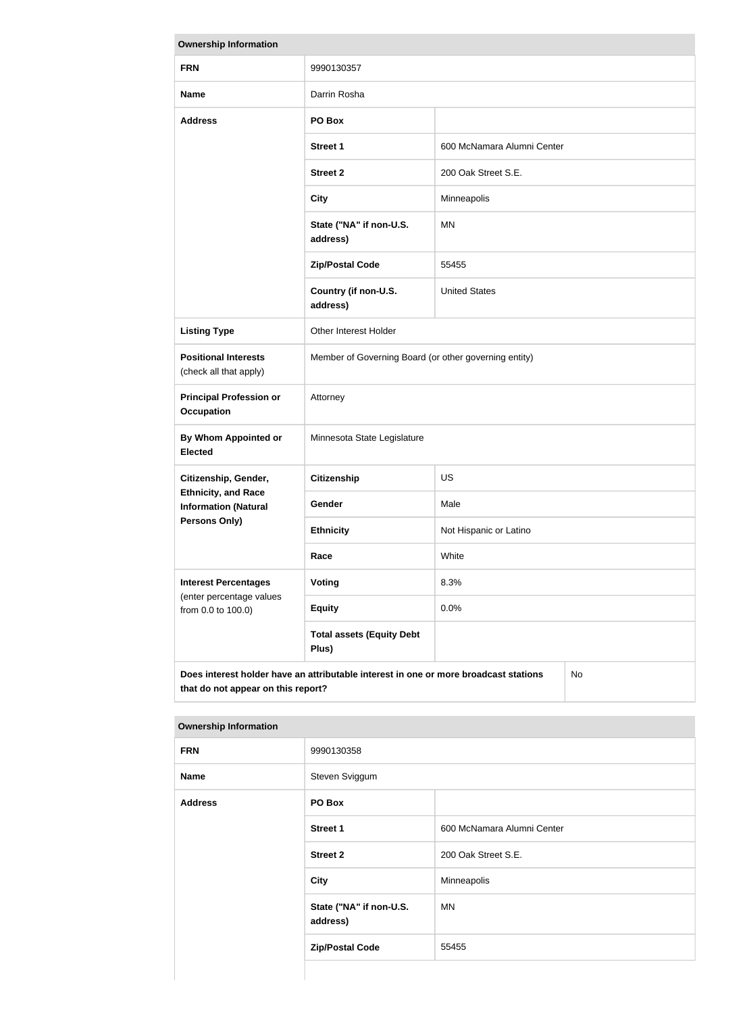| <b>Ownership Information</b>                                                                                                            |                                                       |                            |  |  |
|-----------------------------------------------------------------------------------------------------------------------------------------|-------------------------------------------------------|----------------------------|--|--|
| <b>FRN</b>                                                                                                                              | 9990130357                                            |                            |  |  |
| <b>Name</b>                                                                                                                             | Darrin Rosha                                          |                            |  |  |
| <b>Address</b>                                                                                                                          | PO Box                                                |                            |  |  |
|                                                                                                                                         | <b>Street 1</b>                                       | 600 McNamara Alumni Center |  |  |
|                                                                                                                                         | <b>Street 2</b>                                       | 200 Oak Street S.E.        |  |  |
|                                                                                                                                         | <b>City</b>                                           | Minneapolis                |  |  |
|                                                                                                                                         | State ("NA" if non-U.S.<br>address)                   | <b>MN</b>                  |  |  |
|                                                                                                                                         | <b>Zip/Postal Code</b>                                | 55455                      |  |  |
|                                                                                                                                         | Country (if non-U.S.<br>address)                      | <b>United States</b>       |  |  |
| <b>Listing Type</b>                                                                                                                     | Other Interest Holder                                 |                            |  |  |
| <b>Positional Interests</b><br>(check all that apply)                                                                                   | Member of Governing Board (or other governing entity) |                            |  |  |
| <b>Principal Profession or</b><br><b>Occupation</b>                                                                                     | Attorney                                              |                            |  |  |
| <b>By Whom Appointed or</b><br><b>Elected</b>                                                                                           | Minnesota State Legislature                           |                            |  |  |
| Citizenship, Gender,                                                                                                                    | <b>Citizenship</b>                                    | <b>US</b>                  |  |  |
| <b>Ethnicity, and Race</b><br><b>Information (Natural</b>                                                                               | Gender                                                | Male                       |  |  |
| Persons Only)                                                                                                                           | <b>Ethnicity</b>                                      | Not Hispanic or Latino     |  |  |
|                                                                                                                                         | White<br>Race                                         |                            |  |  |
| <b>Interest Percentages</b><br>(enter percentage values                                                                                 | Voting                                                | 8.3%                       |  |  |
| from 0.0 to 100.0)                                                                                                                      | <b>Equity</b>                                         | 0.0%                       |  |  |
|                                                                                                                                         | <b>Total assets (Equity Debt</b><br>Plus)             |                            |  |  |
| Does interest holder have an attributable interest in one or more broadcast stations<br><b>No</b><br>that do not appear on this report? |                                                       |                            |  |  |

| <b>FRN</b>     | 9990130358                          |                            |  |  |
|----------------|-------------------------------------|----------------------------|--|--|
| <b>Name</b>    | Steven Sviggum                      |                            |  |  |
| <b>Address</b> | PO Box                              |                            |  |  |
|                | <b>Street 1</b>                     | 600 McNamara Alumni Center |  |  |
|                | <b>Street 2</b>                     | 200 Oak Street S.E.        |  |  |
|                | <b>City</b>                         | Minneapolis                |  |  |
|                | State ("NA" if non-U.S.<br>address) | MN                         |  |  |
|                | <b>Zip/Postal Code</b>              | 55455                      |  |  |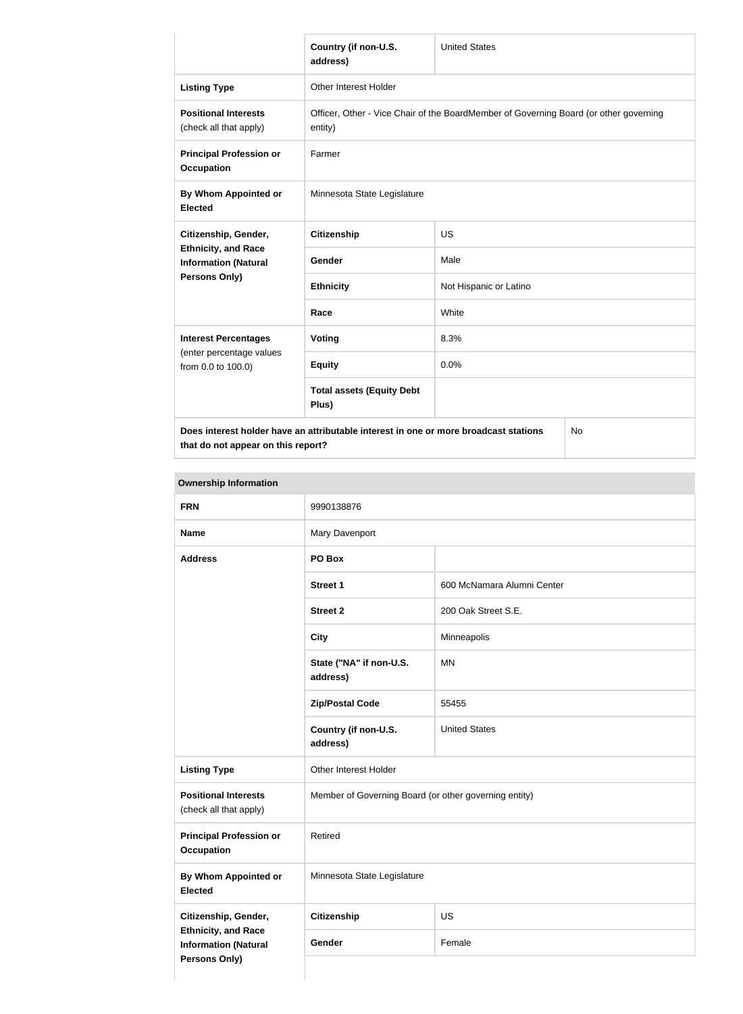|                                                                                                    | Country (if non-U.S.<br>address)                                                                 | <b>United States</b>   |  |
|----------------------------------------------------------------------------------------------------|--------------------------------------------------------------------------------------------------|------------------------|--|
| <b>Listing Type</b>                                                                                | Other Interest Holder                                                                            |                        |  |
| <b>Positional Interests</b><br>(check all that apply)                                              | Officer, Other - Vice Chair of the BoardMember of Governing Board (or other governing<br>entity) |                        |  |
| <b>Principal Profession or</b><br><b>Occupation</b>                                                | Farmer                                                                                           |                        |  |
| By Whom Appointed or<br><b>Elected</b>                                                             | Minnesota State Legislature                                                                      |                        |  |
| Citizenship, Gender,<br><b>Ethnicity, and Race</b><br><b>Information (Natural</b><br>Persons Only) | <b>Citizenship</b>                                                                               | <b>US</b>              |  |
|                                                                                                    | Gender                                                                                           | Male                   |  |
|                                                                                                    | <b>Ethnicity</b>                                                                                 | Not Hispanic or Latino |  |
|                                                                                                    | Race                                                                                             | White                  |  |
| <b>Interest Percentages</b><br>(enter percentage values<br>from 0.0 to 100.0)                      | Voting                                                                                           | 8.3%                   |  |
|                                                                                                    | <b>Equity</b>                                                                                    | 0.0%                   |  |
|                                                                                                    | <b>Total assets (Equity Debt</b><br>Plus)                                                        |                        |  |
| Does interest holder have an attributable interest in one or more broadcast stations<br>No         |                                                                                                  |                        |  |

**that do not appear on this report?**

No

| <b>FRN</b>                                                                        | 9990138876                                            |                            |
|-----------------------------------------------------------------------------------|-------------------------------------------------------|----------------------------|
| <b>Name</b>                                                                       | Mary Davenport                                        |                            |
| <b>Address</b>                                                                    | PO Box                                                |                            |
|                                                                                   | <b>Street 1</b>                                       | 600 McNamara Alumni Center |
|                                                                                   | <b>Street 2</b>                                       | 200 Oak Street S.E.        |
|                                                                                   | <b>City</b>                                           | Minneapolis                |
|                                                                                   | State ("NA" if non-U.S.<br>address)                   | <b>MN</b>                  |
|                                                                                   | <b>Zip/Postal Code</b>                                | 55455                      |
|                                                                                   | Country (if non-U.S.<br>address)                      | <b>United States</b>       |
| <b>Listing Type</b>                                                               | Other Interest Holder                                 |                            |
| <b>Positional Interests</b><br>(check all that apply)                             | Member of Governing Board (or other governing entity) |                            |
| <b>Principal Profession or</b><br><b>Occupation</b>                               | Retired                                               |                            |
| By Whom Appointed or<br><b>Elected</b>                                            | Minnesota State Legislature                           |                            |
| Citizenship, Gender,                                                              | <b>Citizenship</b><br><b>US</b>                       |                            |
| <b>Ethnicity, and Race</b><br><b>Information (Natural</b><br><b>Persons Only)</b> | Gender                                                | Female                     |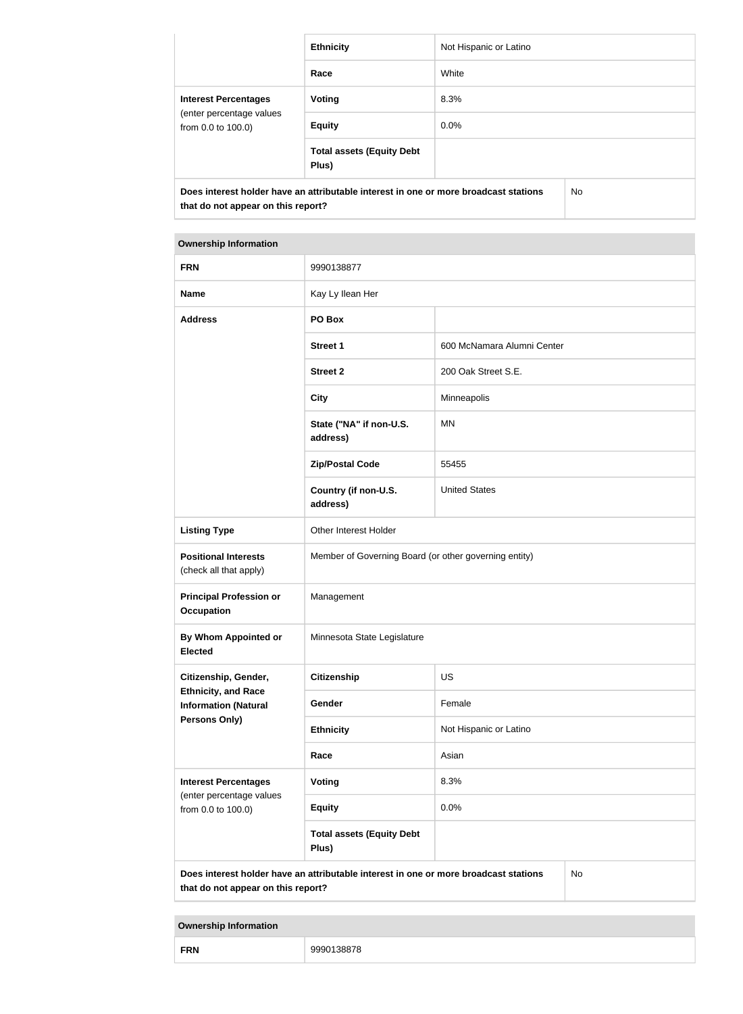|                                                                                                                            | <b>Ethnicity</b>                          | Not Hispanic or Latino |     |
|----------------------------------------------------------------------------------------------------------------------------|-------------------------------------------|------------------------|-----|
|                                                                                                                            | Race                                      | White                  |     |
| <b>Interest Percentages</b>                                                                                                | Voting                                    | 8.3%                   |     |
| (enter percentage values<br>from 0.0 to 100.0)                                                                             | <b>Equity</b>                             | $0.0\%$                |     |
|                                                                                                                            | <b>Total assets (Equity Debt</b><br>Plus) |                        |     |
| Does interest holder have an attributable interest in one or more broadcast stations<br>that do not appear on this report? |                                           |                        | No. |

| <b>FRN</b>                                                                        | 9990138877                                                                           |                            |           |
|-----------------------------------------------------------------------------------|--------------------------------------------------------------------------------------|----------------------------|-----------|
| <b>Name</b>                                                                       | Kay Ly Ilean Her                                                                     |                            |           |
| <b>Address</b>                                                                    | PO Box                                                                               |                            |           |
|                                                                                   | <b>Street 1</b>                                                                      | 600 McNamara Alumni Center |           |
|                                                                                   | <b>Street 2</b>                                                                      | 200 Oak Street S.E.        |           |
|                                                                                   | <b>City</b>                                                                          | Minneapolis                |           |
|                                                                                   | State ("NA" if non-U.S.<br>address)                                                  | <b>MN</b>                  |           |
|                                                                                   | <b>Zip/Postal Code</b>                                                               | 55455                      |           |
|                                                                                   | Country (if non-U.S.<br>address)                                                     | <b>United States</b>       |           |
| <b>Listing Type</b>                                                               | Other Interest Holder                                                                |                            |           |
| <b>Positional Interests</b><br>(check all that apply)                             | Member of Governing Board (or other governing entity)                                |                            |           |
| <b>Principal Profession or</b><br><b>Occupation</b>                               | Management                                                                           |                            |           |
| By Whom Appointed or<br><b>Elected</b>                                            | Minnesota State Legislature                                                          |                            |           |
| Citizenship, Gender,                                                              | <b>Citizenship</b>                                                                   | US                         |           |
| <b>Ethnicity, and Race</b><br><b>Information (Natural</b><br><b>Persons Only)</b> | Gender                                                                               | Female                     |           |
|                                                                                   | <b>Ethnicity</b>                                                                     | Not Hispanic or Latino     |           |
|                                                                                   | Race                                                                                 | Asian                      |           |
| <b>Interest Percentages</b><br>(enter percentage values<br>from 0.0 to 100.0)     | Voting                                                                               | 8.3%                       |           |
|                                                                                   | <b>Equity</b>                                                                        | 0.0%                       |           |
|                                                                                   | <b>Total assets (Equity Debt</b><br>Plus)                                            |                            |           |
| that do not appear on this report?                                                | Does interest holder have an attributable interest in one or more broadcast stations |                            | <b>No</b> |

|  | <b>FRN</b> | ,,,,, |
|--|------------|-------|
|--|------------|-------|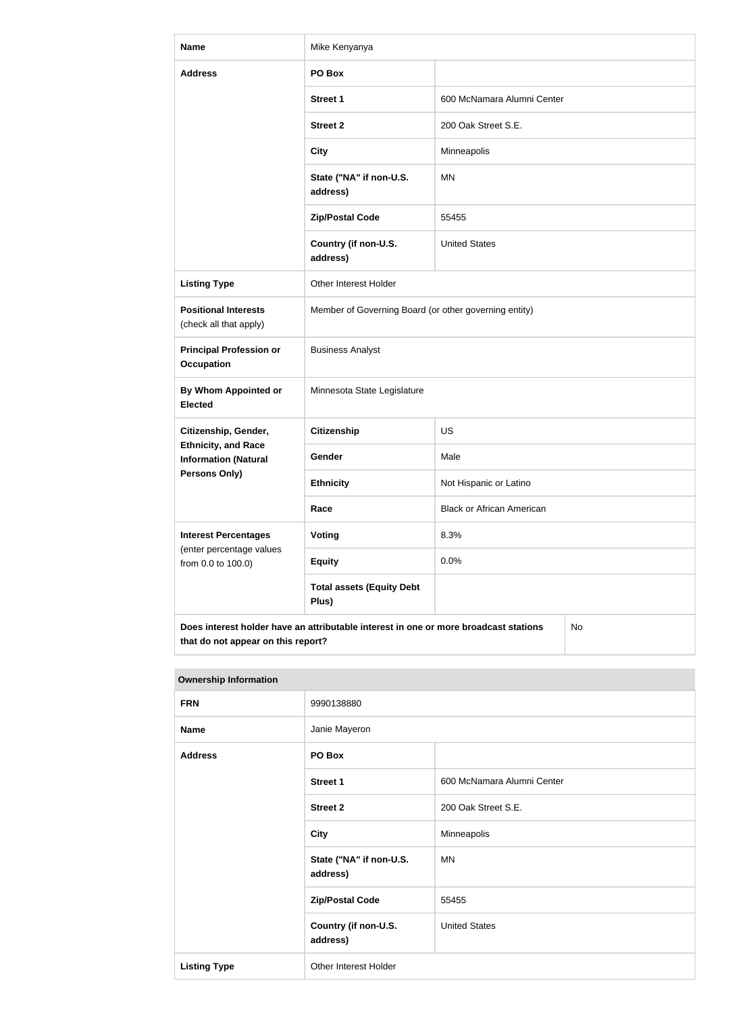| <b>Name</b>                                               | Mike Kenyanya                                                                        |                                  |    |
|-----------------------------------------------------------|--------------------------------------------------------------------------------------|----------------------------------|----|
| <b>Address</b>                                            | PO Box                                                                               |                                  |    |
|                                                           | <b>Street 1</b>                                                                      | 600 McNamara Alumni Center       |    |
|                                                           | <b>Street 2</b>                                                                      | 200 Oak Street S.E.              |    |
|                                                           | <b>City</b>                                                                          | Minneapolis                      |    |
|                                                           | State ("NA" if non-U.S.<br>address)                                                  | <b>MN</b>                        |    |
|                                                           | <b>Zip/Postal Code</b>                                                               | 55455                            |    |
|                                                           | Country (if non-U.S.<br>address)                                                     | <b>United States</b>             |    |
| <b>Listing Type</b>                                       | Other Interest Holder                                                                |                                  |    |
| <b>Positional Interests</b><br>(check all that apply)     | Member of Governing Board (or other governing entity)                                |                                  |    |
| <b>Principal Profession or</b><br><b>Occupation</b>       | <b>Business Analyst</b>                                                              |                                  |    |
| <b>By Whom Appointed or</b><br><b>Elected</b>             | Minnesota State Legislature                                                          |                                  |    |
| Citizenship, Gender,                                      | Citizenship                                                                          | US                               |    |
| <b>Ethnicity, and Race</b><br><b>Information (Natural</b> | Gender                                                                               | Male                             |    |
| <b>Persons Only)</b>                                      | <b>Ethnicity</b>                                                                     | Not Hispanic or Latino           |    |
|                                                           | Race                                                                                 | <b>Black or African American</b> |    |
| <b>Interest Percentages</b>                               | <b>Voting</b>                                                                        | 8.3%                             |    |
| (enter percentage values<br>from 0.0 to 100.0)            | <b>Equity</b>                                                                        | 0.0%                             |    |
|                                                           | <b>Total assets (Equity Debt</b><br>Plus)                                            |                                  |    |
| that do not appear on this report?                        | Does interest holder have an attributable interest in one or more broadcast stations |                                  | No |

| <b>Ownership Information</b> |                                     |                            |
|------------------------------|-------------------------------------|----------------------------|
| <b>FRN</b>                   | 9990138880                          |                            |
| <b>Name</b>                  | Janie Mayeron                       |                            |
| <b>Address</b>               | PO Box                              |                            |
|                              | <b>Street 1</b>                     | 600 McNamara Alumni Center |
|                              | <b>Street 2</b>                     | 200 Oak Street S.E.        |
|                              | <b>City</b>                         | Minneapolis                |
|                              | State ("NA" if non-U.S.<br>address) | ΜN                         |
|                              | <b>Zip/Postal Code</b>              | 55455                      |
|                              | Country (if non-U.S.<br>address)    | <b>United States</b>       |
| <b>Listing Type</b>          | Other Interest Holder               |                            |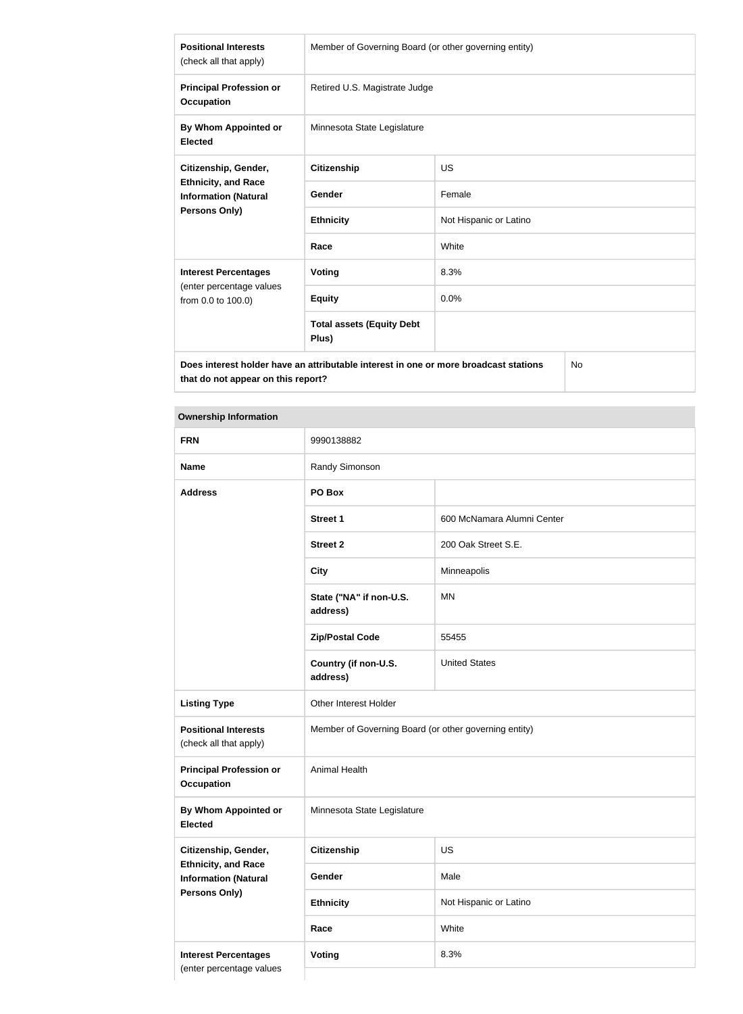| <b>Positional Interests</b><br>(check all that apply)                                      | Member of Governing Board (or other governing entity) |                        |  |
|--------------------------------------------------------------------------------------------|-------------------------------------------------------|------------------------|--|
| <b>Principal Profession or</b><br><b>Occupation</b>                                        | Retired U.S. Magistrate Judge                         |                        |  |
| By Whom Appointed or<br><b>Elected</b>                                                     | Minnesota State Legislature                           |                        |  |
| Citizenship, Gender,                                                                       | <b>Citizenship</b>                                    | US                     |  |
| <b>Ethnicity, and Race</b><br><b>Information (Natural</b>                                  | <b>Gender</b>                                         | Female                 |  |
| Persons Only)                                                                              | <b>Ethnicity</b>                                      | Not Hispanic or Latino |  |
|                                                                                            | Race                                                  | White                  |  |
| <b>Interest Percentages</b>                                                                | Voting                                                | 8.3%                   |  |
| (enter percentage values<br>from 0.0 to 100.0)                                             | <b>Equity</b>                                         | 0.0%                   |  |
|                                                                                            | <b>Total assets (Equity Debt</b><br>Plus)             |                        |  |
| Does interest holder have an attributable interest in one or more broadcast stations<br>No |                                                       |                        |  |

**Does interest holder have an attributable interest in one or more broadcast stations that do not appear on this report?**

| <b>FRN</b>                                                | 9990138882                                            |                            |
|-----------------------------------------------------------|-------------------------------------------------------|----------------------------|
| <b>Name</b>                                               | Randy Simonson                                        |                            |
| <b>Address</b>                                            | PO Box                                                |                            |
|                                                           | <b>Street 1</b>                                       | 600 McNamara Alumni Center |
|                                                           | <b>Street 2</b>                                       | 200 Oak Street S.E.        |
|                                                           | <b>City</b>                                           | Minneapolis                |
|                                                           | State ("NA" if non-U.S.<br>address)                   | <b>MN</b>                  |
|                                                           | <b>Zip/Postal Code</b>                                | 55455                      |
|                                                           | Country (if non-U.S.<br>address)                      | <b>United States</b>       |
| <b>Listing Type</b>                                       | Other Interest Holder                                 |                            |
| <b>Positional Interests</b><br>(check all that apply)     | Member of Governing Board (or other governing entity) |                            |
| <b>Principal Profession or</b><br><b>Occupation</b>       | Animal Health                                         |                            |
| <b>By Whom Appointed or</b><br><b>Elected</b>             | Minnesota State Legislature                           |                            |
| Citizenship, Gender,                                      | <b>Citizenship</b>                                    | US                         |
| <b>Ethnicity, and Race</b><br><b>Information (Natural</b> | Gender                                                | Male                       |
| Persons Only)                                             | <b>Ethnicity</b>                                      | Not Hispanic or Latino     |
|                                                           | Race                                                  | White                      |
| <b>Interest Percentages</b>                               | Voting                                                | 8.3%                       |
| (enter percentage values                                  |                                                       |                            |